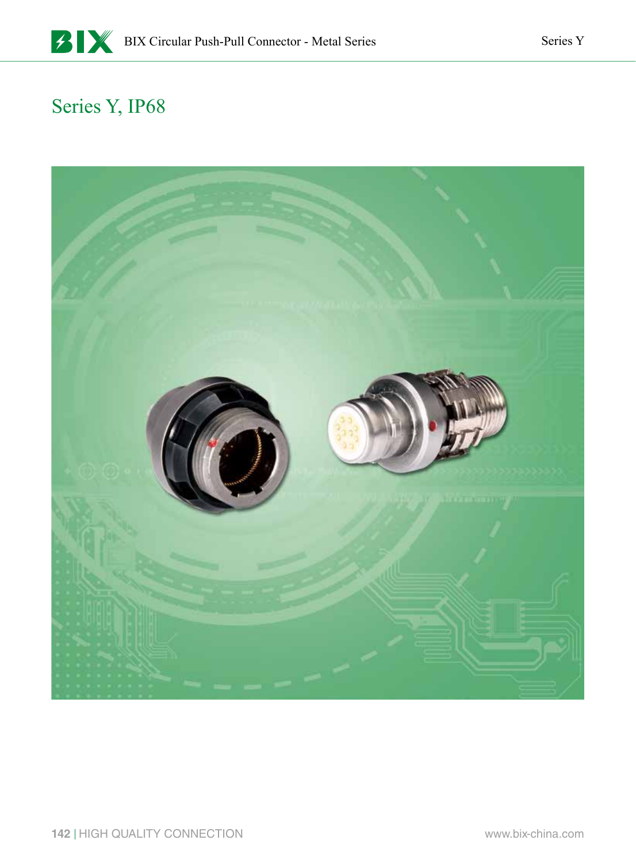

## Series Y, IP68

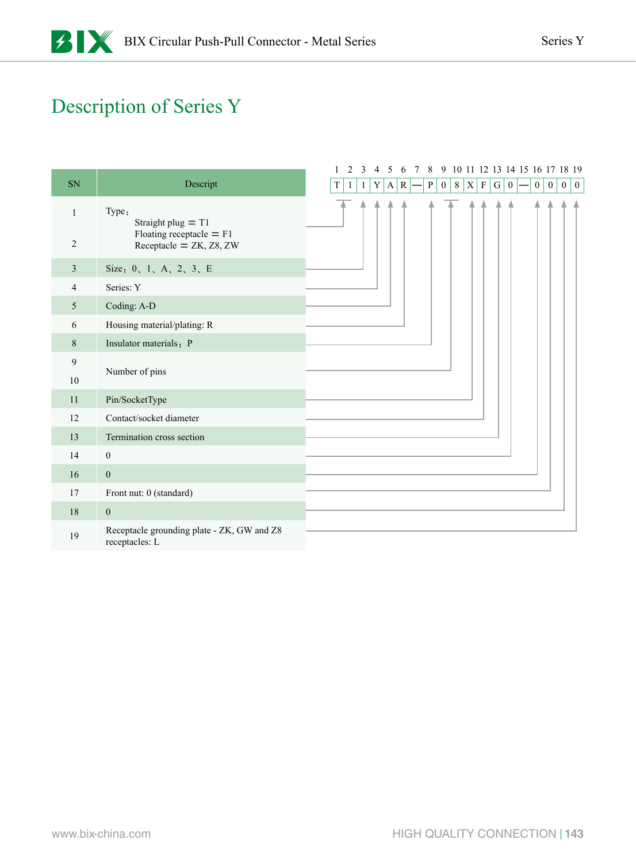# Description of Series Y

|                |                                                               |  | $\mathbf{1}$ | 2 | $\overline{3}$ | $\overline{4}$ | 5 |           | 6 7 | 8         |   |         |                 |              |                 |                  | 9 10 11 12 13 14 15 16 17 18 19 |                |                  |                  |              |
|----------------|---------------------------------------------------------------|--|--------------|---|----------------|----------------|---|-----------|-----|-----------|---|---------|-----------------|--------------|-----------------|------------------|---------------------------------|----------------|------------------|------------------|--------------|
| SN             | Descript                                                      |  | $\rm T$      | 1 | $\mathbf{1}$   | $\mathbf Y$    | A | ${\bf R}$ |     | ${\bf P}$ | 0 | $\,8\,$ | $\vert X \vert$ | $\, {\bf F}$ | $\vert G \vert$ | $\boldsymbol{0}$ |                                 | $\overline{0}$ | $\boldsymbol{0}$ | $\boldsymbol{0}$ | $\mathbf{0}$ |
| 1              | Type:<br>Straight plug $= T1$                                 |  |              |   |                |                |   |           |     |           |   |         |                 |              |                 |                  |                                 |                |                  |                  |              |
| $\overline{2}$ | Floating receptacle $=$ F1<br>Receptacle = $ZK$ , $Z8$ , $ZW$ |  |              |   |                |                |   |           |     |           |   |         |                 |              |                 |                  |                                 |                |                  |                  |              |
| 3              | Size: 0, 1, A, 2, 3, E                                        |  |              |   |                |                |   |           |     |           |   |         |                 |              |                 |                  |                                 |                |                  |                  |              |
| 4              | Series: Y                                                     |  |              |   |                |                |   |           |     |           |   |         |                 |              |                 |                  |                                 |                |                  |                  |              |
| 5              | Coding: A-D                                                   |  |              |   |                |                |   |           |     |           |   |         |                 |              |                 |                  |                                 |                |                  |                  |              |
| 6              | Housing material/plating: R                                   |  |              |   |                |                |   |           |     |           |   |         |                 |              |                 |                  |                                 |                |                  |                  |              |
| $8\,$          | Insulator materials: P                                        |  |              |   |                |                |   |           |     |           |   |         |                 |              |                 |                  |                                 |                |                  |                  |              |
| 9              |                                                               |  |              |   |                |                |   |           |     |           |   |         |                 |              |                 |                  |                                 |                |                  |                  |              |
| 10             | Number of pins                                                |  |              |   |                |                |   |           |     |           |   |         |                 |              |                 |                  |                                 |                |                  |                  |              |
| 11             | Pin/SocketType                                                |  |              |   |                |                |   |           |     |           |   |         |                 |              |                 |                  |                                 |                |                  |                  |              |
| 12             | Contact/socket diameter                                       |  |              |   |                |                |   |           |     |           |   |         |                 |              |                 |                  |                                 |                |                  |                  |              |
| 13             | Termination cross section                                     |  |              |   |                |                |   |           |     |           |   |         |                 |              |                 |                  |                                 |                |                  |                  |              |
| 14             | $\boldsymbol{0}$                                              |  |              |   |                |                |   |           |     |           |   |         |                 |              |                 |                  |                                 |                |                  |                  |              |
| 16             | $\boldsymbol{0}$                                              |  |              |   |                |                |   |           |     |           |   |         |                 |              |                 |                  |                                 |                |                  |                  |              |
| 17             | Front nut: 0 (standard)                                       |  |              |   |                |                |   |           |     |           |   |         |                 |              |                 |                  |                                 |                |                  |                  |              |
| 18             | $\boldsymbol{0}$                                              |  |              |   |                |                |   |           |     |           |   |         |                 |              |                 |                  |                                 |                |                  |                  |              |
| 19             | Receptacle grounding plate - ZK, GW and Z8<br>receptacles: L  |  |              |   |                |                |   |           |     |           |   |         |                 |              |                 |                  |                                 |                |                  |                  |              |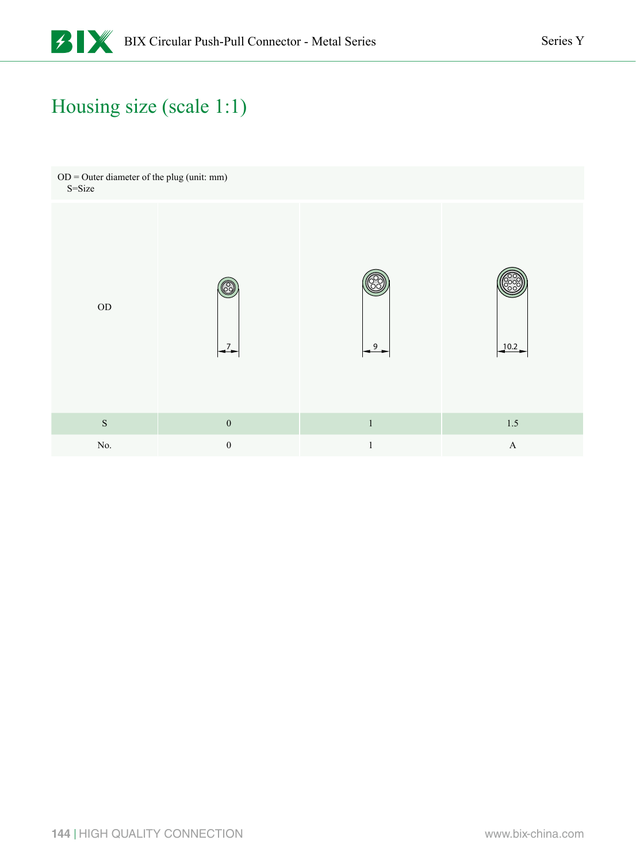# Housing size (scale 1:1)

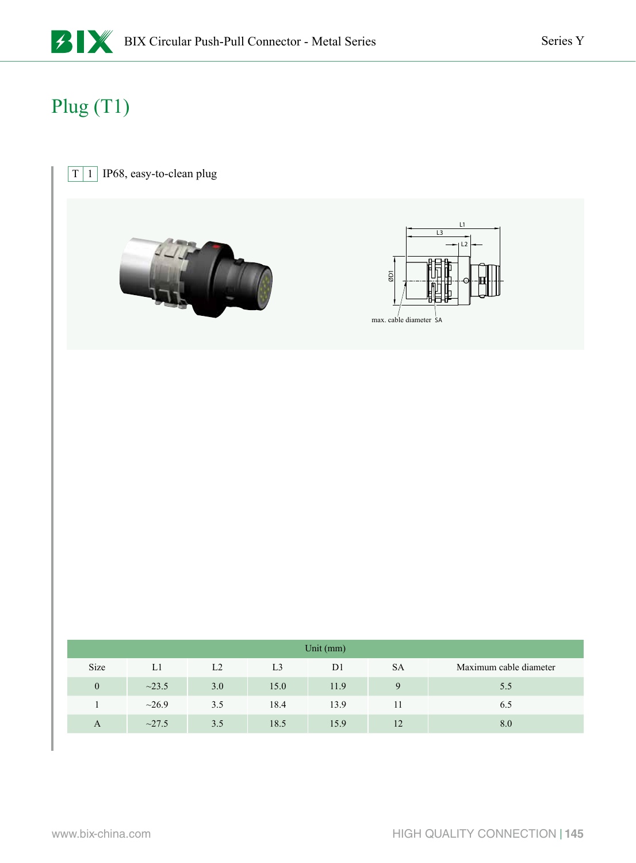

# Plug (T1)

#### $\boxed{T}$  1 IP68, easy-to-clean plug





|              | Unit (mm)   |                |                |                |           |                        |  |  |  |  |
|--------------|-------------|----------------|----------------|----------------|-----------|------------------------|--|--|--|--|
| Size         | L1          | L <sub>2</sub> | L <sub>3</sub> | D <sub>1</sub> | <b>SA</b> | Maximum cable diameter |  |  |  |  |
| $\mathbf{0}$ | $\sim$ 23.5 | 3.0            | 15.0           | 11.9           | Q         | 5.5                    |  |  |  |  |
|              | ~26.9       | 3.5            | 18.4           | 13.9           |           | 6.5                    |  |  |  |  |
| $\mathbf{A}$ | $\sim$ 27.5 | 3.5            | 18.5           | 15.9           | 12        | 8.0                    |  |  |  |  |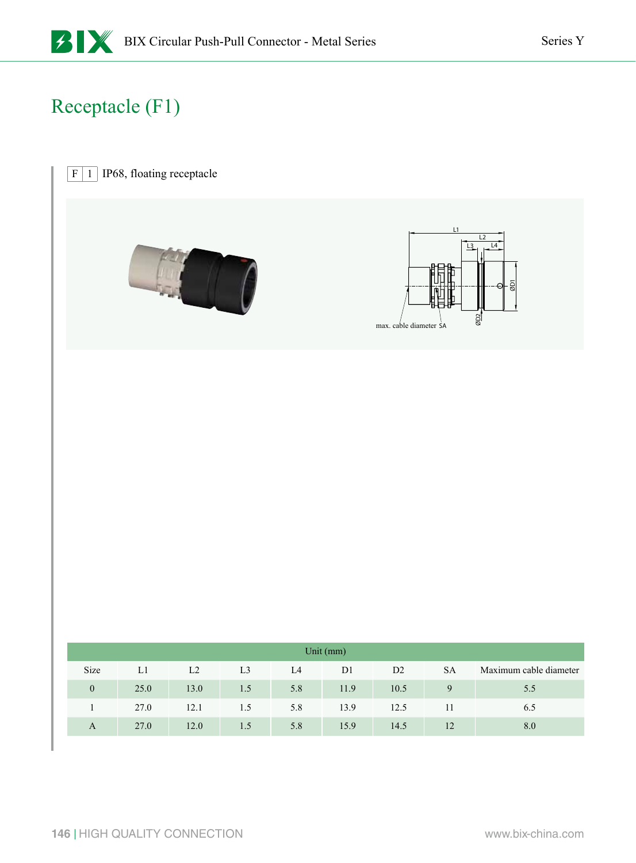# Receptacle (F1)

 $\boxed{F \mid 1}$  IP68, floating receptacle





|                | Unit $(mm)$ |      |                |     |                |      |             |                        |  |  |  |
|----------------|-------------|------|----------------|-----|----------------|------|-------------|------------------------|--|--|--|
| Size           | L1          | L2   | L <sub>3</sub> | L4  | D <sub>1</sub> | D2   | <b>SA</b>   | Maximum cable diameter |  |  |  |
| $\overline{0}$ | 25.0        | 13.0 | 1.5            | 5.8 | 11.9           | 10.5 | $\mathbf Q$ | 5.5                    |  |  |  |
|                | 27.0        | 12.1 | 1.5            | 5.8 | 13.9           | 12.5 | 11          | 6.5                    |  |  |  |
| A              | 27.0        | 12.0 | 1.5            | 5.8 | 15.9           | 14.5 | 12          | 8.0                    |  |  |  |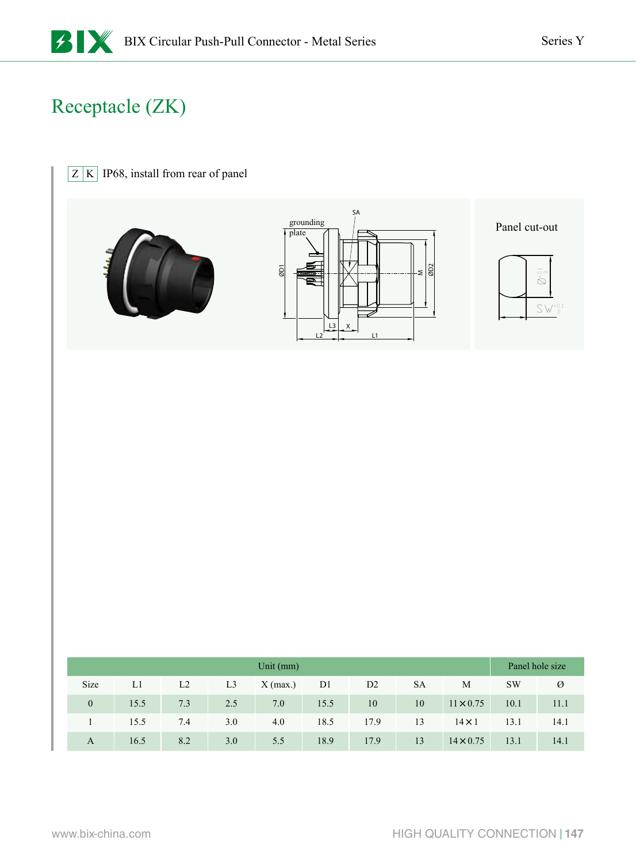# Receptacle (ZK)

| $Z K $ IP68, install from rear of panel |                                                                                                                                           |                                                                                                                           |
|-----------------------------------------|-------------------------------------------------------------------------------------------------------------------------------------------|---------------------------------------------------------------------------------------------------------------------------|
|                                         | $S_A$<br>grounding<br>$\frac{1}{\text{plate}}$<br>$\frac{1}{2}$<br>$\overline{\mathsf{Q}}$<br>$\frac{13}{1}$<br>$\frac{x}{x}$<br>L2<br>L1 | Panel cut-out<br>$\varnothing^{+0.1}_{\phantom{0}0}$<br>$\textstyle\mathop{\textstyle\bigotimes}\limits^{\textstyle+0.1}$ |
|                                         |                                                                                                                                           |                                                                                                                           |
|                                         |                                                                                                                                           |                                                                                                                           |
|                                         |                                                                                                                                           |                                                                                                                           |

|                | Panel hole size |                |                |            |      |                |           |                  |           |      |
|----------------|-----------------|----------------|----------------|------------|------|----------------|-----------|------------------|-----------|------|
| Size           | L1              | L <sub>2</sub> | L <sub>3</sub> | $X$ (max.) | D1   | D <sub>2</sub> | <b>SA</b> | M                | <b>SW</b> | Ø    |
| $\overline{0}$ | 15.5            | 7.3            | 2.5            | 7.0        | 15.5 | 10             | 10        | $11 \times 0.75$ | 10.1      | 11.1 |
|                | 15.5            | 7.4            | 3.0            | 4.0        | 18.5 | 17.9           | 13        | $14 \times 1$    | 13.1      | 14.1 |
| A              | 16.5            | 8.2            | 3.0            | 5.5        | 18.9 | 17.9           | 13        | $14 \times 0.75$ | 13.1      | 14.1 |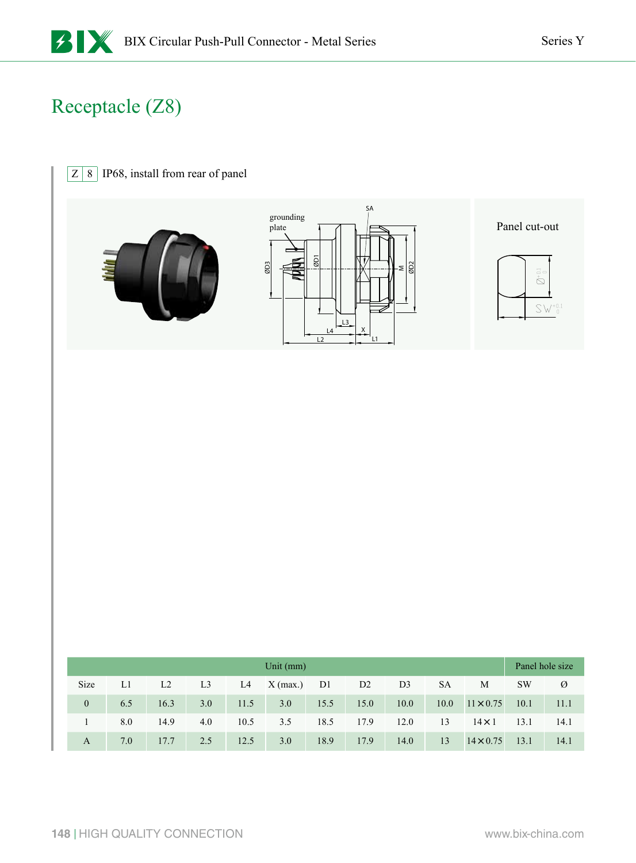# Receptacle (Z8)

| $\boldsymbol{Z}$<br>$\,8\,$ |            |                     | IP68, install from rear of panel |                        |                                    |                                 |                                                  |                               |                     |                  |                                            |                                           |
|-----------------------------|------------|---------------------|----------------------------------|------------------------|------------------------------------|---------------------------------|--------------------------------------------------|-------------------------------|---------------------|------------------|--------------------------------------------|-------------------------------------------|
|                             |            |                     |                                  |                        | $\mbox{grounding}$<br>plate<br>ØD3 | $\overline{\omega}$<br>L4<br>L2 | $S_A$<br>L3<br>$\stackrel{X}{\rightarrow}$<br>L1 | $\overline{\omega}$<br>$\leq$ |                     |                  | Panel cut-out<br>$\bigotimes_{}^{+\, 0.1}$ | $\textstyle\bigotimes\bigvee^{+0.1}_{-0}$ |
|                             |            |                     |                                  |                        |                                    |                                 |                                                  |                               |                     |                  |                                            |                                           |
|                             |            |                     |                                  |                        | Unit (mm)                          |                                 |                                                  |                               |                     |                  |                                            | Panel hole size                           |
| Size                        | $\rm L1$   | $\operatorname{L2}$ | $\operatorname{L3}$              | $\mathop{\mathrm{L4}}$ | $X$ (max.)                         | $\rm D1$                        | $\rm{D}2$                                        | $\rm D3$                      | $\operatorname{SA}$ | $\mathbf M$      | $\mathrm{SW}$                              | $\varnothing$                             |
| $\boldsymbol{0}$            | $6.5\,$    | 16.3                | $3.0\,$                          | $11.5\,$               | $3.0\,$                            | 15.5                            | $15.0\,$                                         | $10.0\,$                      | $10.0\,$            | $11 \times 0.75$ | $10.1\,$                                   | $11.1\,$                                  |
| $\,1$                       | $\ \, 8.0$ | 14.9                | $4.0\,$                          | $10.5\,$               | $3.5\,$                            | $18.5\,$                        | 17.9                                             | $12.0\,$                      | $13\,$              | $14 \times 1$    | 13.1                                       | $14.1\,$                                  |

A 7.0 17.7 2.5 12.5 3.0 18.9 17.9 14.0 13 14×0.75 13.1 14.1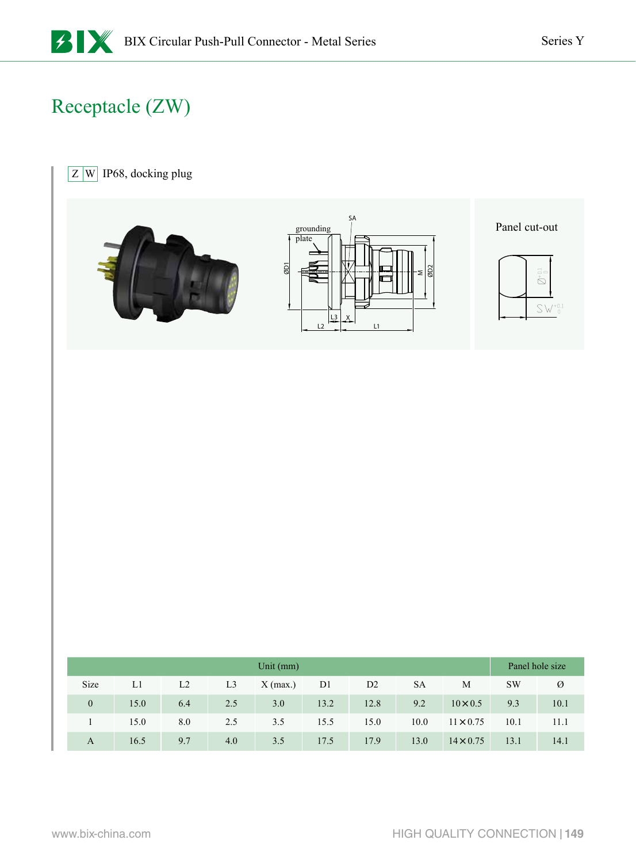# Receptacle (ZW)

 $\boxed{Z}$  W IP68, docking plug



|              |      |                |                | Unit $(mm)$ |                |      |           |                  |           | Panel hole size |
|--------------|------|----------------|----------------|-------------|----------------|------|-----------|------------------|-----------|-----------------|
| Size         | L1   | L <sub>2</sub> | L <sub>3</sub> | $X$ (max.)  | D <sub>1</sub> | D2   | <b>SA</b> | M                | <b>SW</b> | Ø               |
| $\mathbf{0}$ | 15.0 | 6.4            | 2.5            | 3.0         | 13.2           | 12.8 | 9.2       | $10 \times 0.5$  | 9.3       | 10.1            |
|              | 15.0 | 8.0            | 2.5            | 3.5         | 15.5           | 15.0 | 10.0      | $11 \times 0.75$ | 10.1      | 11.1            |
| A            | 16.5 | 9.7            | 4.0            | 3.5         | 17.5           | 17.9 | 13.0      | $14 \times 0.75$ | 13.1      | 14.1            |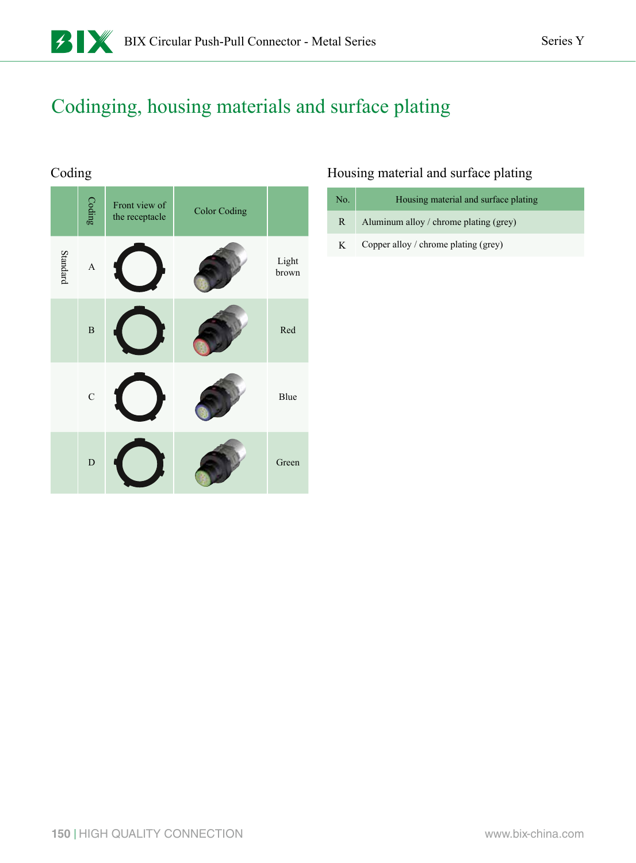### Codinging, housing materials and surface plating

### Coding

|          | Coding                    | Front view of<br>the receptacle | <b>Color Coding</b> |                |
|----------|---------------------------|---------------------------------|---------------------|----------------|
| Standard | $\boldsymbol{\mathsf{A}}$ |                                 |                     | Light<br>brown |
|          | $\overline{B}$            |                                 |                     | Red            |
|          | $\mathbf C$               |                                 |                     | Blue           |
|          | $\overline{D}$            |                                 |                     | Green          |

### Housing material and surface plating

| No. | Housing material and surface plating   |
|-----|----------------------------------------|
| R   | Aluminum alloy / chrome plating (grey) |
| K   | Copper alloy / chrome plating (grey)   |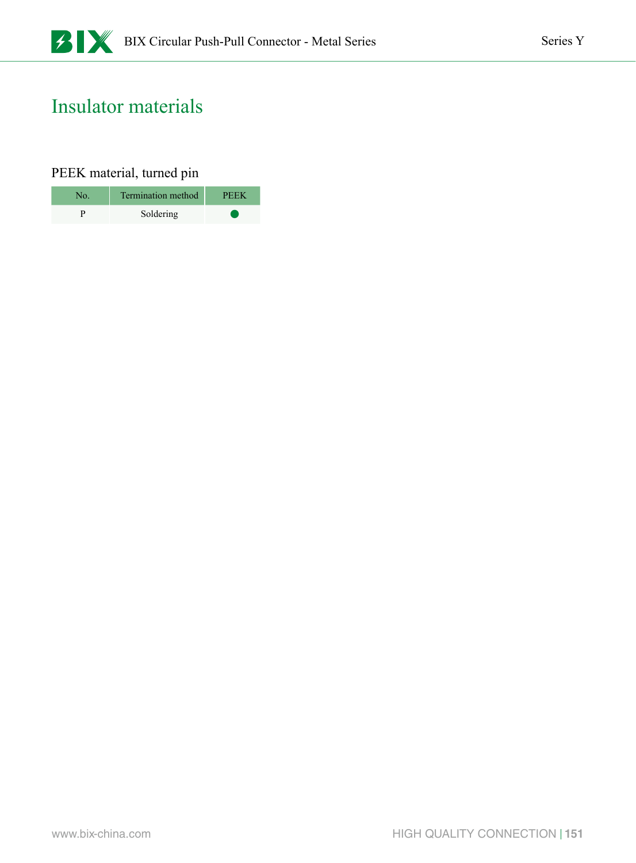### Insulator materials

### PEEK material, turned pin

| No. | Termination method | PEEK. |
|-----|--------------------|-------|
|     | Soldering          |       |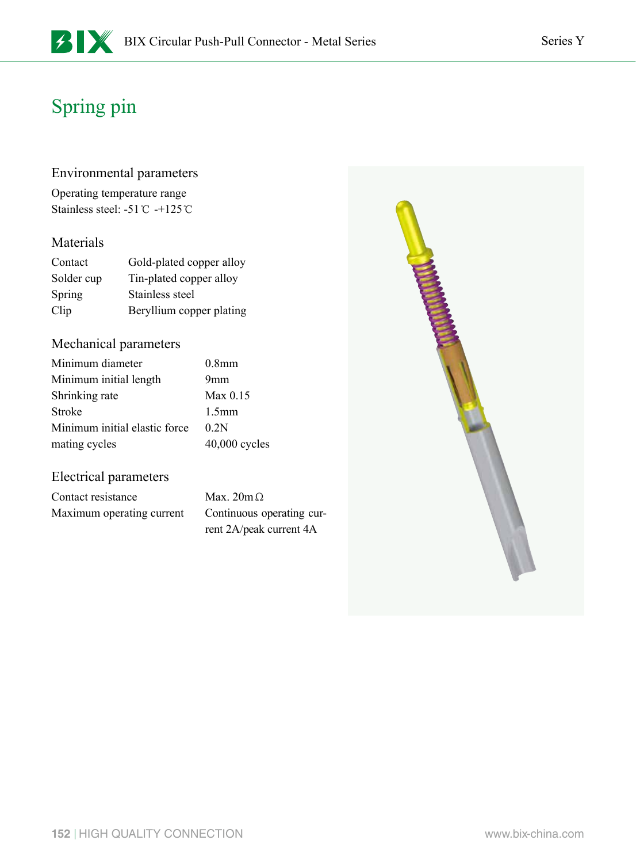#### Environmental parameters

Operating temperature range Stainless steel: -51℃ -+125℃

#### Materials

| Contact    | Gold-plated copper alloy |
|------------|--------------------------|
| Solder cup | Tin-plated copper alloy  |
| Spring     | Stainless steel          |
| Clip       | Beryllium copper plating |

#### Mechanical parameters

| Minimum diameter              | 0.8 <sub>mm</sub> |
|-------------------------------|-------------------|
| Minimum initial length        | 9mm               |
| Shrinking rate                | $Max\ 0.15$       |
| Stroke                        | 1.5 <sub>mm</sub> |
| Minimum initial elastic force | 02N               |
| mating cycles                 | $40,000$ cycles   |

#### Electrical parameters

Contact resistance Max. 20mΩ Maximum operating current Continuous operating cur-

rent 2A/peak current 4A

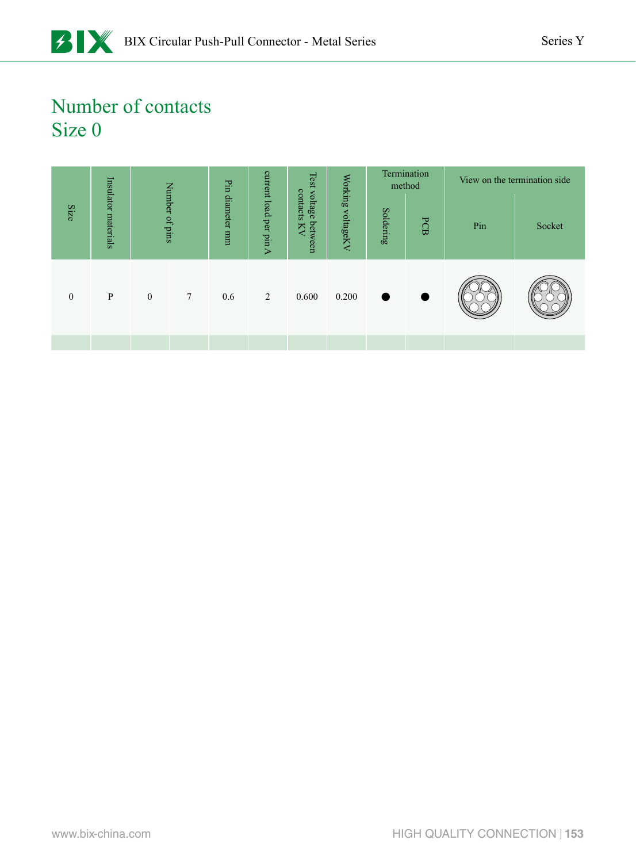### Number of contacts Size 0

|                                                    |                     |                  |                  |                 |                        |                                     |                   | Termination<br>$\rm{method}$ |              | View on the termination side |        |
|----------------------------------------------------|---------------------|------------------|------------------|-----------------|------------------------|-------------------------------------|-------------------|------------------------------|--------------|------------------------------|--------|
| Size                                               | Insulator materials |                  | Number of pins   | Pin diameter mm | current load per pin A | Test voltage between<br>contacts KV | Working voltageKV | Soldering                    | $_{\rm PCB}$ | $\ensuremath{\text{Pin}}$    | Socket |
| $\boldsymbol{0}$                                   | $\, {\bf P}$        | $\boldsymbol{0}$ | $\boldsymbol{7}$ | $0.6\,$         | $\sqrt{2}$             | 0.600                               | 0.200             |                              |              |                              |        |
|                                                    |                     |                  |                  |                 |                        |                                     |                   |                              |              |                              |        |
|                                                    |                     |                  |                  |                 |                        |                                     |                   |                              |              |                              |        |
|                                                    |                     |                  |                  |                 |                        |                                     |                   |                              |              |                              |        |
|                                                    |                     |                  |                  |                 |                        |                                     |                   |                              |              |                              |        |
|                                                    |                     |                  |                  |                 |                        |                                     |                   |                              |              |                              |        |
|                                                    |                     |                  |                  |                 |                        |                                     |                   |                              |              |                              |        |
|                                                    |                     |                  |                  |                 |                        |                                     |                   |                              |              |                              |        |
|                                                    |                     |                  |                  |                 |                        |                                     |                   |                              |              |                              |        |
|                                                    |                     |                  |                  |                 |                        |                                     |                   |                              |              |                              |        |
|                                                    |                     |                  |                  |                 |                        |                                     |                   |                              |              |                              |        |
|                                                    |                     |                  |                  |                 |                        |                                     |                   |                              |              |                              |        |
| HIGH QUALITY CONNECTION   153<br>www.bix-china.com |                     |                  |                  |                 |                        |                                     |                   |                              |              |                              |        |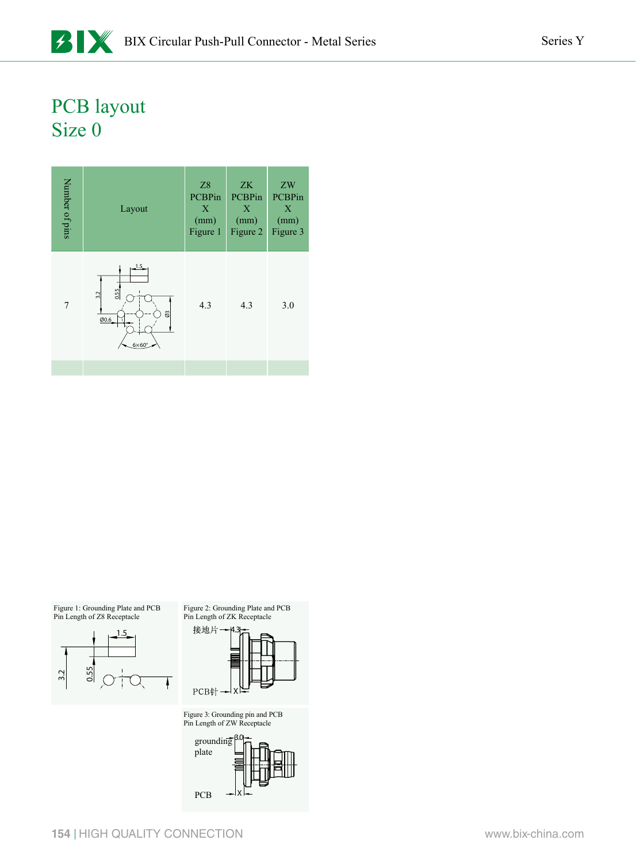### PCB layout Size 0



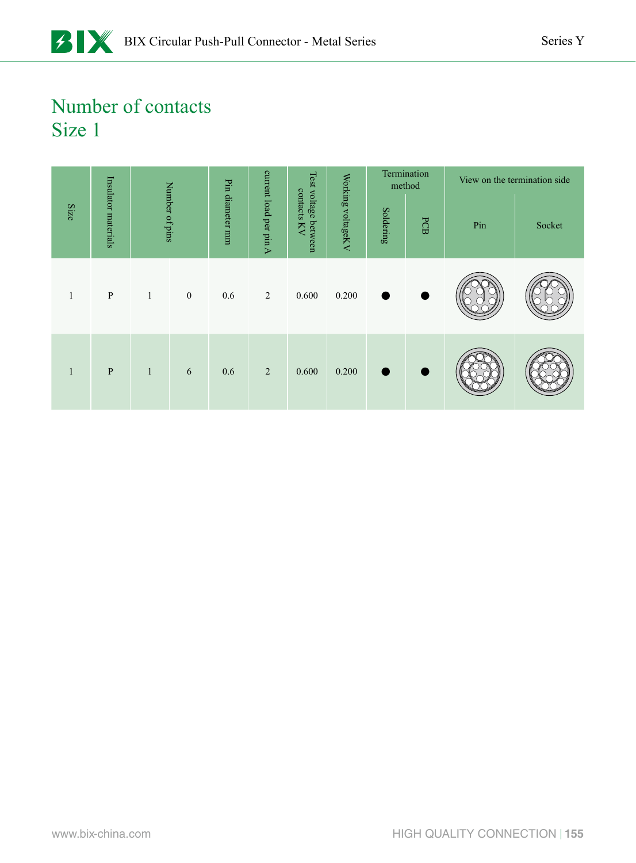### Number of contacts Size 1

|      |                     | Pin diameter mm<br>Number of pins |                              |                     | Test voltage      |           |       | Termination<br>method |        | View on the termination side |  |
|------|---------------------|-----------------------------------|------------------------------|---------------------|-------------------|-----------|-------|-----------------------|--------|------------------------------|--|
| Size | Insulator materials |                                   | current load per pin A<br>KV | contacts<br>between | Working voltageKV | Soldering | PCB   | Pin                   | Socket |                              |  |
| 1    | $\, {\bf P}$        | $\mathbf{1}$                      | $\mathbf{0}$                 | 0.6                 | 2                 | 0.600     | 0.200 |                       |        |                              |  |
| 1    | $\, {\bf P}$        | $\mathbf{1}$                      | 6                            | 0.6                 | $\overline{2}$    | 0.600     | 0.200 |                       |        |                              |  |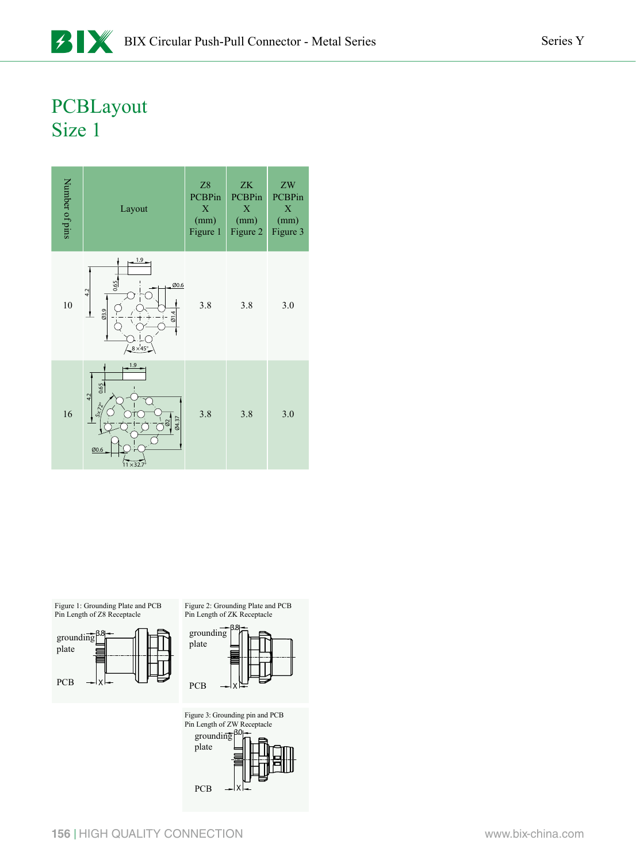### PCBLayout Size 1





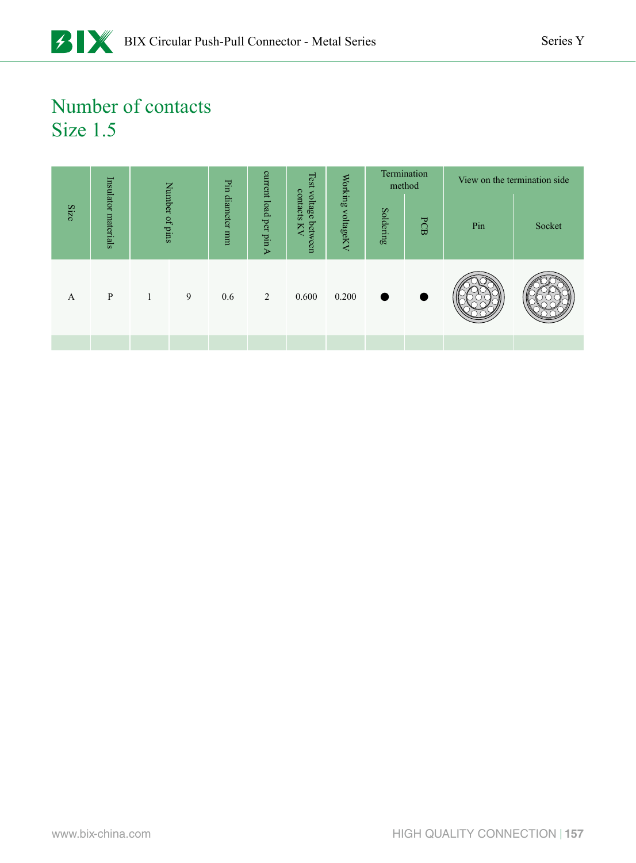# Number of contacts Size 1.5

|      |                     |              |                | Pin             | current<br>Test<br>contacts<br>voltage<br>load per pin A<br>betw<br>Σ<br>een |           | Working   | method | Termination |        | View on the termination side |  |
|------|---------------------|--------------|----------------|-----------------|------------------------------------------------------------------------------|-----------|-----------|--------|-------------|--------|------------------------------|--|
| Size | Insulator materials |              | Number of pins | diameter<br>uuu |                                                                              | voltageKV | Soldering | PCB    | Pin         | Socket |                              |  |
| A    | P                   | $\mathbf{1}$ | 9              | 0.6             | 2                                                                            | 0.600     | 0.200     |        |             |        |                              |  |
|      |                     |              |                |                 |                                                                              |           |           |        |             |        |                              |  |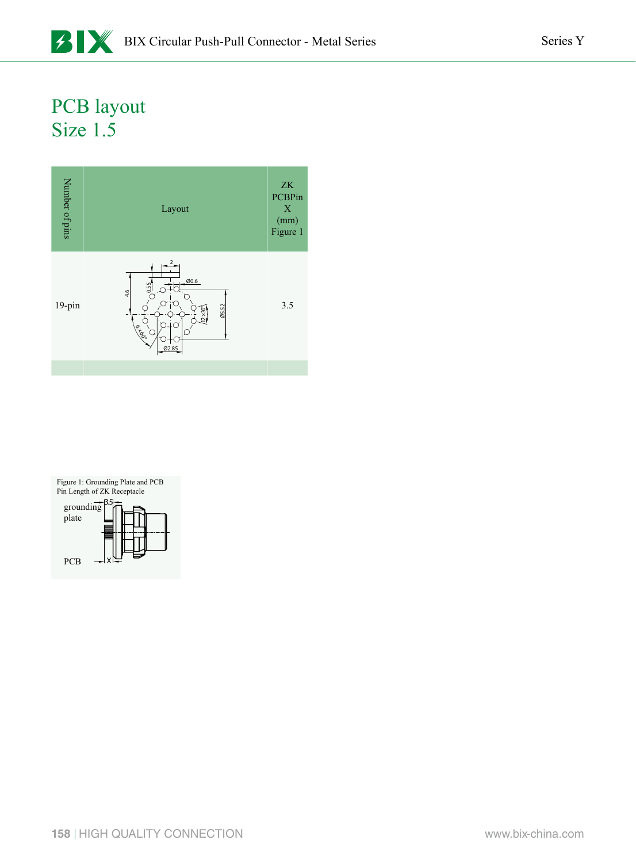### PCB layout Size 1.5



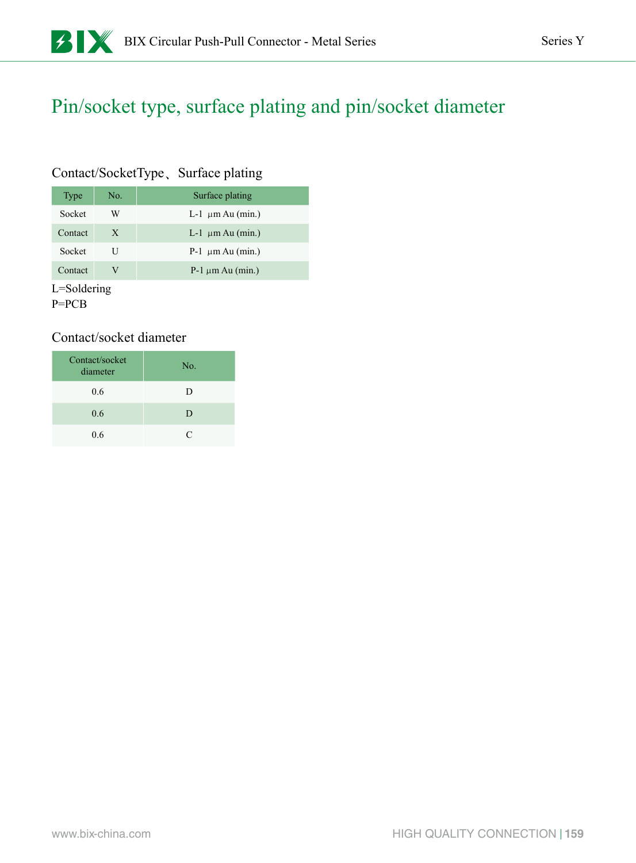### Pin/socket type, surface plating and pin/socket diameter

### Contact/SocketType、Surface plating

| Type    | No. | Surface plating        |
|---------|-----|------------------------|
| Socket  | W   | L-1 $\mu$ m Au (min.)  |
| Contact | X   | L-1 $\mu$ m Au (min.)  |
| Socket  | U   | $P-1 \mu m A u (min.)$ |
| Contact | V   | $P-1 \mu m$ Au (min.)  |

L=Soldering

P=PCB

### Contact/socket diameter

| Contact/socket<br>diameter | No.       |
|----------------------------|-----------|
| 0.6                        | D         |
| 0.6                        | D         |
| 0.6                        | $\subset$ |